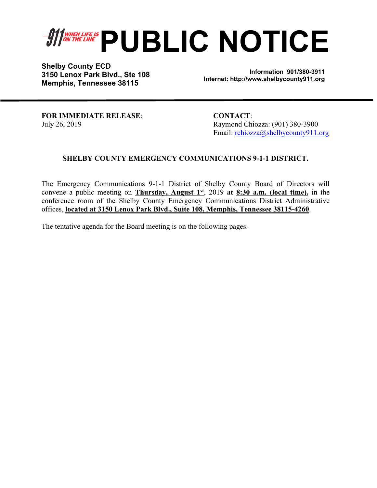# *SHERRIFE IS* PUBLIC NOTICE

**Shelby County ECD 3150 Lenox Park Blvd., Ste 108 Memphis, Tennessee 38115** 

**Information 901/380-3911 Internet: http://www.shelbycounty911.org**

**FOR IMMEDIATE RELEASE**: **CONTACT**:

July 26, 2019 Raymond Chiozza: (901) 380-3900 Email: rchiozza@shelbycounty911.org

### **SHELBY COUNTY EMERGENCY COMMUNICATIONS 9-1-1 DISTRICT.**

The Emergency Communications 9-1-1 District of Shelby County Board of Directors will convene a public meeting on **Thursday, August 1st**, 2019 **at 8:30 a.m. (local time),** in the conference room of the Shelby County Emergency Communications District Administrative offices, **located at 3150 Lenox Park Blvd., Suite 108, Memphis, Tennessee 38115-4260**.

The tentative agenda for the Board meeting is on the following pages.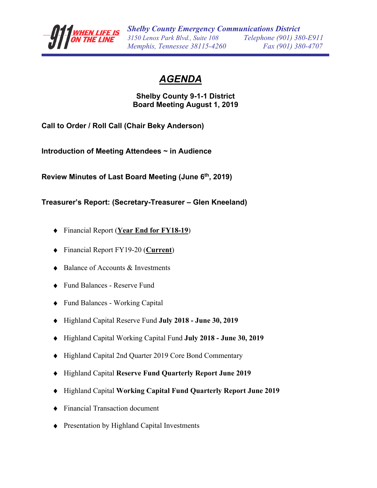

# *AGENDA*

# **Shelby County 9-1-1 District Board Meeting August 1, 2019**

**Call to Order / Roll Call (Chair Beky Anderson)** 

**Introduction of Meeting Attendees ~ in Audience** 

**Review Minutes of Last Board Meeting (June 6th, 2019)** 

**Treasurer's Report: (Secretary-Treasurer – Glen Kneeland)** 

- Financial Report (**Year End for FY18-19**)
- Financial Report FY19-20 (**Current**)
- Balance of Accounts  $&$  Investments
- Fund Balances Reserve Fund
- ◆ Fund Balances Working Capital
- Highland Capital Reserve Fund **July 2018 June 30, 2019**
- Highland Capital Working Capital Fund **July 2018 June 30, 2019**
- Highland Capital 2nd Quarter 2019 Core Bond Commentary
- Highland Capital **Reserve Fund Quarterly Report June 2019**
- Highland Capital **Working Capital Fund Quarterly Report June 2019**
- Financial Transaction document
- ◆ Presentation by Highland Capital Investments